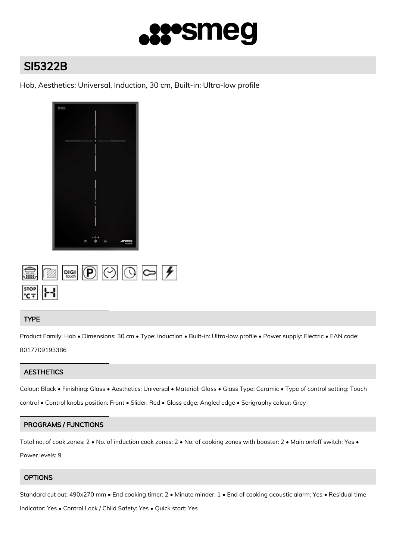

# SI5322B

Hob, Aesthetics: Universal, Induction, 30 cm, Built-in: Ultra-low profile



|                                                       |  | $\circledR$ pigi $\circledR$ $\circledR$ $\circledR$ $\rightarrow$ |  |
|-------------------------------------------------------|--|--------------------------------------------------------------------|--|
| $rac{\text{stop}}{\text{cof}}$ $\left  \cdot \right $ |  |                                                                    |  |

## TYPE

Product Family: Hob • Dimensions: 30 cm • Type: Induction • Built-in: Ultra-low profile • Power supply: Electric • EAN code: 8017709193386

## **AESTHETICS**

Colour: Black • Finishing: Glass • Aesthetics: Universal • Material: Glass • Glass Type: Ceramic • Type of control setting: Touch control • Control knobs position: Front • Slider: Red • Glass edge: Angled edge • Serigraphy colour: Grey

## PROGRAMS / FUNCTIONS

Total no. of cook zones: 2 • No. of induction cook zones: 2 • No. of cooking zones with booster: 2 • Main on/off switch: Yes • Power levels: 9

## **OPTIONS**

Standard cut out: 490x270 mm • End cooking timer: 2 • Minute minder: 1 • End of cooking acoustic alarm: Yes • Residual time

indicator: Yes • Control Lock / Child Safety: Yes • Quick start: Yes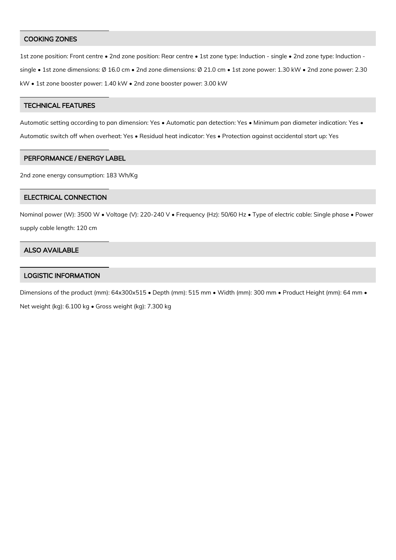#### COOKING ZONES

1st zone position: Front centre • 2nd zone position: Rear centre • 1st zone type: Induction - single • 2nd zone type: Induction single • 1st zone dimensions: Ø 16.0 cm • 2nd zone dimensions: Ø 21.0 cm • 1st zone power: 1.30 kW • 2nd zone power: 2.30 kW • 1st zone booster power: 1.40 kW • 2nd zone booster power: 3.00 kW

#### TECHNICAL FEATURES

Automatic setting according to pan dimension: Yes • Automatic pan detection: Yes • Minimum pan diameter indication: Yes • Automatic switch off when overheat: Yes • Residual heat indicator: Yes • Protection against accidental start up: Yes

#### PERFORMANCE / ENERGY LABEL

2nd zone energy consumption: 183 Wh/Kg

#### ELECTRICAL CONNECTION

Nominal power (W): 3500 W · Voltage (V): 220-240 V · Frequency (Hz): 50/60 Hz · Type of electric cable: Single phase · Power supply cable length: 120 cm

#### ALSO AVAILABLE

### LOGISTIC INFORMATION

Dimensions of the product (mm): 64x300x515 • Depth (mm): 515 mm • Width (mm): 300 mm • Product Height (mm): 64 mm • Net weight (kg): 6.100 kg • Gross weight (kg): 7.300 kg